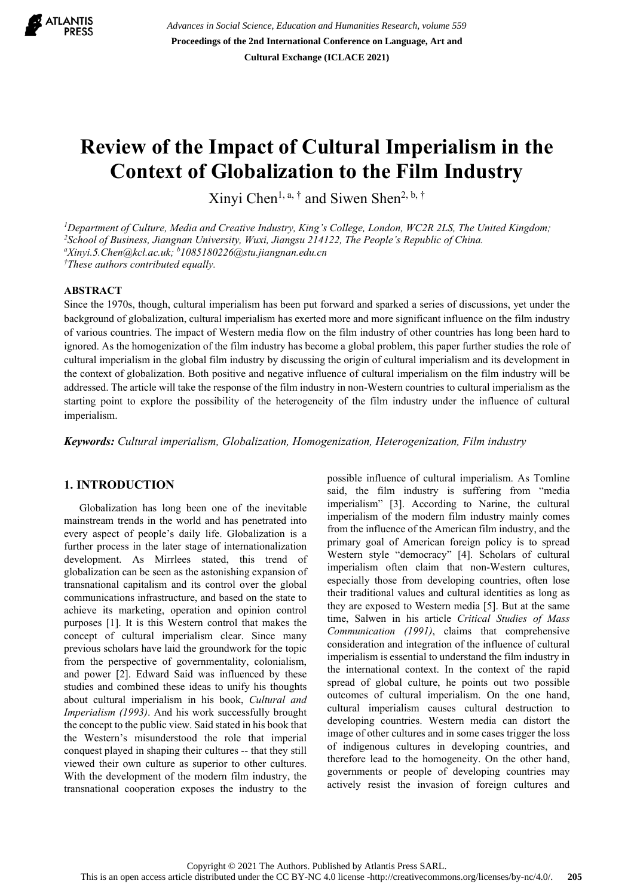

*Advances in Social Science, Education and Humanities Research, volume 559* **Proceedings of the 2nd International Conference on Language, Art and Cultural Exchange (ICLACE 2021)**

# **Review of the Impact of Cultural Imperialism in the Context of Globalization to the Film Industry**

Xinyi Chen<sup>1, a, †</sup> and Siwen Shen<sup>2, b, †</sup>

<sup>1</sup>Department of Culture, Media and Creative Industry, King's College, London, WC2R 2LS, The United Kingdom; *2 School of Business, Jiangnan University, Wuxi, Jiangsu 214122, The People's Republic of China. a Xinyi.5.Chen@kcl.ac.uk; b 1085180226@stu.jiangnan.edu.cn † These authors contributed equally.* 

### **ABSTRACT**

Since the 1970s, though, cultural imperialism has been put forward and sparked a series of discussions, yet under the background of globalization, cultural imperialism has exerted more and more significant influence on the film industry of various countries. The impact of Western media flow on the film industry of other countries has long been hard to ignored. As the homogenization of the film industry has become a global problem, this paper further studies the role of cultural imperialism in the global film industry by discussing the origin of cultural imperialism and its development in the context of globalization. Both positive and negative influence of cultural imperialism on the film industry will be addressed. The article will take the response of the film industry in non-Western countries to cultural imperialism as the starting point to explore the possibility of the heterogeneity of the film industry under the influence of cultural imperialism.

*Keywords: Cultural imperialism, Globalization, Homogenization, Heterogenization, Film industry*

## **1. INTRODUCTION**

Globalization has long been one of the inevitable mainstream trends in the world and has penetrated into every aspect of people's daily life. Globalization is a further process in the later stage of internationalization development. As Mirrlees stated, this trend of globalization can be seen as the astonishing expansion of transnational capitalism and its control over the global communications infrastructure, and based on the state to achieve its marketing, operation and opinion control purposes [1]. It is this Western control that makes the concept of cultural imperialism clear. Since many previous scholars have laid the groundwork for the topic from the perspective of governmentality, colonialism, and power [2]. Edward Said was influenced by these studies and combined these ideas to unify his thoughts about cultural imperialism in his book, *Cultural and Imperialism (1993)*. And his work successfully brought the concept to the public view. Said stated in his book that the Western's misunderstood the role that imperial conquest played in shaping their cultures -- that they still viewed their own culture as superior to other cultures. With the development of the modern film industry, the transnational cooperation exposes the industry to the

possible influence of cultural imperialism. As Tomline said, the film industry is suffering from "media imperialism" [3]. According to Narine, the cultural imperialism of the modern film industry mainly comes from the influence of the American film industry, and the primary goal of American foreign policy is to spread Western style "democracy" [4]. Scholars of cultural imperialism often claim that non-Western cultures, especially those from developing countries, often lose their traditional values and cultural identities as long as they are exposed to Western media [5]. But at the same time, Salwen in his article *Critical Studies of Mass Communication (1991)*, claims that comprehensive consideration and integration of the influence of cultural imperialism is essential to understand the film industry in the international context. In the context of the rapid spread of global culture, he points out two possible outcomes of cultural imperialism. On the one hand, cultural imperialism causes cultural destruction to developing countries. Western media can distort the image of other cultures and in some cases trigger the loss of indigenous cultures in developing countries, and therefore lead to the homogeneity. On the other hand, governments or people of developing countries may actively resist the invasion of foreign cultures and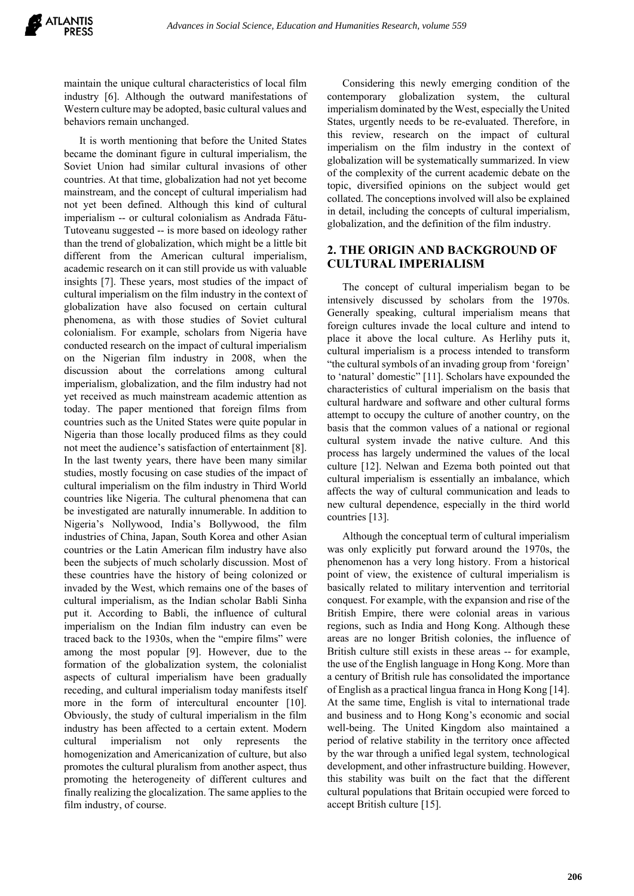maintain the unique cultural characteristics of local film industry [6]. Although the outward manifestations of Western culture may be adopted, basic cultural values and behaviors remain unchanged.

It is worth mentioning that before the United States became the dominant figure in cultural imperialism, the Soviet Union had similar cultural invasions of other countries. At that time, globalization had not yet become mainstream, and the concept of cultural imperialism had not yet been defined. Although this kind of cultural imperialism -- or cultural colonialism as Andrada Fătu-Tutoveanu suggested -- is more based on ideology rather than the trend of globalization, which might be a little bit different from the American cultural imperialism, academic research on it can still provide us with valuable insights [7]. These years, most studies of the impact of cultural imperialism on the film industry in the context of globalization have also focused on certain cultural phenomena, as with those studies of Soviet cultural colonialism. For example, scholars from Nigeria have conducted research on the impact of cultural imperialism on the Nigerian film industry in 2008, when the discussion about the correlations among cultural imperialism, globalization, and the film industry had not yet received as much mainstream academic attention as today. The paper mentioned that foreign films from countries such as the United States were quite popular in Nigeria than those locally produced films as they could not meet the audience's satisfaction of entertainment [8]. In the last twenty years, there have been many similar studies, mostly focusing on case studies of the impact of cultural imperialism on the film industry in Third World countries like Nigeria. The cultural phenomena that can be investigated are naturally innumerable. In addition to Nigeria's Nollywood, India's Bollywood, the film industries of China, Japan, South Korea and other Asian countries or the Latin American film industry have also been the subjects of much scholarly discussion. Most of these countries have the history of being colonized or invaded by the West, which remains one of the bases of cultural imperialism, as the Indian scholar Babli Sinha put it. According to Babli, the influence of cultural imperialism on the Indian film industry can even be traced back to the 1930s, when the "empire films" were among the most popular [9]. However, due to the formation of the globalization system, the colonialist aspects of cultural imperialism have been gradually receding, and cultural imperialism today manifests itself more in the form of intercultural encounter [10]. Obviously, the study of cultural imperialism in the film industry has been affected to a certain extent. Modern cultural imperialism not only represents the homogenization and Americanization of culture, but also promotes the cultural pluralism from another aspect, thus promoting the heterogeneity of different cultures and finally realizing the glocalization. The same applies to the film industry, of course.

Considering this newly emerging condition of the contemporary globalization system, the cultural imperialism dominated by the West, especially the United States, urgently needs to be re-evaluated. Therefore, in this review, research on the impact of cultural imperialism on the film industry in the context of globalization will be systematically summarized. In view of the complexity of the current academic debate on the topic, diversified opinions on the subject would get collated. The conceptions involved will also be explained in detail, including the concepts of cultural imperialism, globalization, and the definition of the film industry.

# **2. THE ORIGIN AND BACKGROUND OF CULTURAL IMPERIALISM**

The concept of cultural imperialism began to be intensively discussed by scholars from the 1970s. Generally speaking, cultural imperialism means that foreign cultures invade the local culture and intend to place it above the local culture. As Herlihy puts it, cultural imperialism is a process intended to transform "the cultural symbols of an invading group from 'foreign' to 'natural' domestic" [11]. Scholars have expounded the characteristics of cultural imperialism on the basis that cultural hardware and software and other cultural forms attempt to occupy the culture of another country, on the basis that the common values of a national or regional cultural system invade the native culture. And this process has largely undermined the values of the local culture [12]. Nelwan and Ezema both pointed out that cultural imperialism is essentially an imbalance, which affects the way of cultural communication and leads to new cultural dependence, especially in the third world countries [13].

Although the conceptual term of cultural imperialism was only explicitly put forward around the 1970s, the phenomenon has a very long history. From a historical point of view, the existence of cultural imperialism is basically related to military intervention and territorial conquest. For example, with the expansion and rise of the British Empire, there were colonial areas in various regions, such as India and Hong Kong. Although these areas are no longer British colonies, the influence of British culture still exists in these areas -- for example, the use of the English language in Hong Kong. More than a century of British rule has consolidated the importance of English as a practical lingua franca in Hong Kong [14]. At the same time, English is vital to international trade and business and to Hong Kong's economic and social well-being. The United Kingdom also maintained a period of relative stability in the territory once affected by the war through a unified legal system, technological development, and other infrastructure building. However, this stability was built on the fact that the different cultural populations that Britain occupied were forced to accept British culture [15].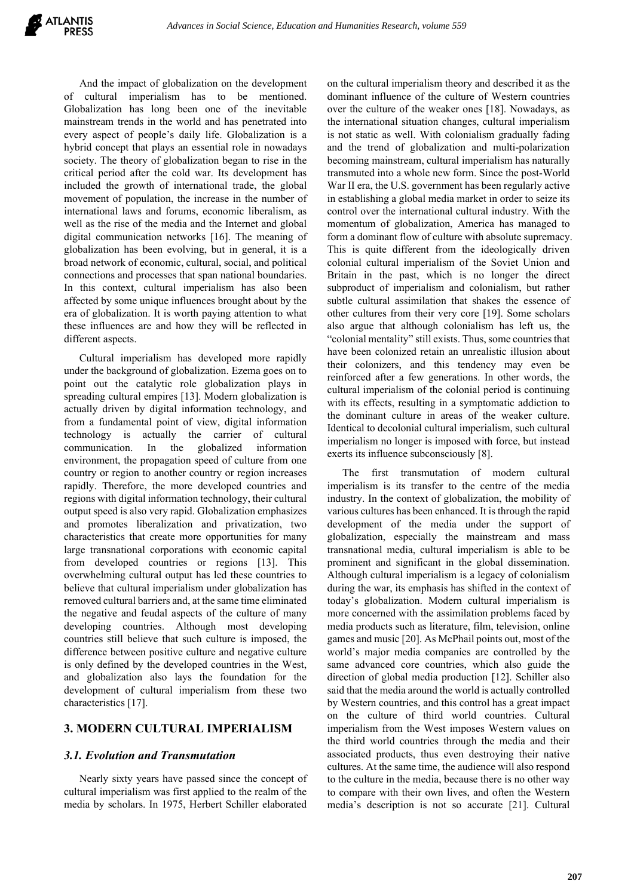And the impact of globalization on the development of cultural imperialism has to be mentioned. Globalization has long been one of the inevitable mainstream trends in the world and has penetrated into every aspect of people's daily life. Globalization is a hybrid concept that plays an essential role in nowadays society. The theory of globalization began to rise in the critical period after the cold war. Its development has included the growth of international trade, the global movement of population, the increase in the number of international laws and forums, economic liberalism, as well as the rise of the media and the Internet and global digital communication networks [16]. The meaning of globalization has been evolving, but in general, it is a broad network of economic, cultural, social, and political connections and processes that span national boundaries. In this context, cultural imperialism has also been affected by some unique influences brought about by the era of globalization. It is worth paying attention to what these influences are and how they will be reflected in different aspects.

Cultural imperialism has developed more rapidly under the background of globalization. Ezema goes on to point out the catalytic role globalization plays in spreading cultural empires [13]. Modern globalization is actually driven by digital information technology, and from a fundamental point of view, digital information technology is actually the carrier of cultural communication. In the globalized information environment, the propagation speed of culture from one country or region to another country or region increases rapidly. Therefore, the more developed countries and regions with digital information technology, their cultural output speed is also very rapid. Globalization emphasizes and promotes liberalization and privatization, two characteristics that create more opportunities for many large transnational corporations with economic capital from developed countries or regions [13]. This overwhelming cultural output has led these countries to believe that cultural imperialism under globalization has removed cultural barriers and, at the same time eliminated the negative and feudal aspects of the culture of many developing countries. Although most developing countries still believe that such culture is imposed, the difference between positive culture and negative culture is only defined by the developed countries in the West, and globalization also lays the foundation for the development of cultural imperialism from these two characteristics [17].

## **3. MODERN CULTURAL IMPERIALISM**

### *3.1. Evolution and Transmutation*

Nearly sixty years have passed since the concept of cultural imperialism was first applied to the realm of the media by scholars. In 1975, Herbert Schiller elaborated on the cultural imperialism theory and described it as the dominant influence of the culture of Western countries over the culture of the weaker ones [18]. Nowadays, as the international situation changes, cultural imperialism is not static as well. With colonialism gradually fading and the trend of globalization and multi-polarization becoming mainstream, cultural imperialism has naturally transmuted into a whole new form. Since the post-World War II era, the U.S. government has been regularly active in establishing a global media market in order to seize its control over the international cultural industry. With the momentum of globalization, America has managed to form a dominant flow of culture with absolute supremacy. This is quite different from the ideologically driven colonial cultural imperialism of the Soviet Union and Britain in the past, which is no longer the direct subproduct of imperialism and colonialism, but rather subtle cultural assimilation that shakes the essence of other cultures from their very core [19]. Some scholars also argue that although colonialism has left us, the "colonial mentality" still exists. Thus, some countries that have been colonized retain an unrealistic illusion about their colonizers, and this tendency may even be reinforced after a few generations. In other words, the cultural imperialism of the colonial period is continuing with its effects, resulting in a symptomatic addiction to the dominant culture in areas of the weaker culture. Identical to decolonial cultural imperialism, such cultural imperialism no longer is imposed with force, but instead exerts its influence subconsciously [8].

The first transmutation of modern cultural imperialism is its transfer to the centre of the media industry. In the context of globalization, the mobility of various cultures has been enhanced. It is through the rapid development of the media under the support of globalization, especially the mainstream and mass transnational media, cultural imperialism is able to be prominent and significant in the global dissemination. Although cultural imperialism is a legacy of colonialism during the war, its emphasis has shifted in the context of today's globalization. Modern cultural imperialism is more concerned with the assimilation problems faced by media products such as literature, film, television, online games and music [20]. As McPhail points out, most of the world's major media companies are controlled by the same advanced core countries, which also guide the direction of global media production [12]. Schiller also said that the media around the world is actually controlled by Western countries, and this control has a great impact on the culture of third world countries. Cultural imperialism from the West imposes Western values on the third world countries through the media and their associated products, thus even destroying their native cultures. At the same time, the audience will also respond to the culture in the media, because there is no other way to compare with their own lives, and often the Western media's description is not so accurate [21]. Cultural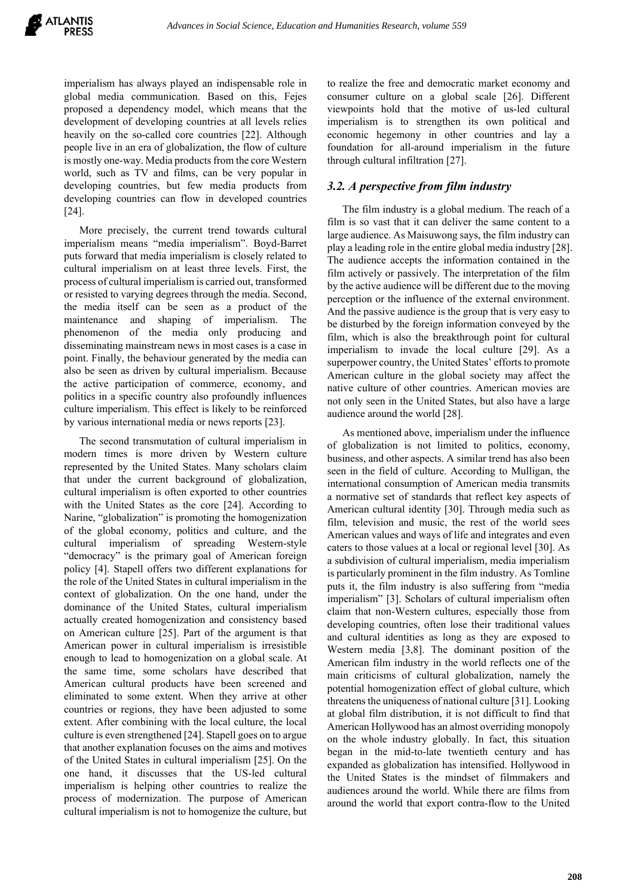imperialism has always played an indispensable role in global media communication. Based on this, Fejes proposed a dependency model, which means that the development of developing countries at all levels relies heavily on the so-called core countries [22]. Although people live in an era of globalization, the flow of culture is mostly one-way. Media products from the core Western world, such as TV and films, can be very popular in developing countries, but few media products from developing countries can flow in developed countries [24].

More precisely, the current trend towards cultural imperialism means "media imperialism". Boyd-Barret puts forward that media imperialism is closely related to cultural imperialism on at least three levels. First, the process of cultural imperialism is carried out, transformed or resisted to varying degrees through the media. Second, the media itself can be seen as a product of the maintenance and shaping of imperialism. The phenomenon of the media only producing and disseminating mainstream news in most cases is a case in point. Finally, the behaviour generated by the media can also be seen as driven by cultural imperialism. Because the active participation of commerce, economy, and politics in a specific country also profoundly influences culture imperialism. This effect is likely to be reinforced by various international media or news reports [23].

The second transmutation of cultural imperialism in modern times is more driven by Western culture represented by the United States. Many scholars claim that under the current background of globalization, cultural imperialism is often exported to other countries with the United States as the core [24]. According to Narine, "globalization" is promoting the homogenization of the global economy, politics and culture, and the cultural imperialism of spreading Western-style "democracy" is the primary goal of American foreign policy [4]. Stapell offers two different explanations for the role of the United States in cultural imperialism in the context of globalization. On the one hand, under the dominance of the United States, cultural imperialism actually created homogenization and consistency based on American culture [25]. Part of the argument is that American power in cultural imperialism is irresistible enough to lead to homogenization on a global scale. At the same time, some scholars have described that American cultural products have been screened and eliminated to some extent. When they arrive at other countries or regions, they have been adjusted to some extent. After combining with the local culture, the local culture is even strengthened [24]. Stapell goes on to argue that another explanation focuses on the aims and motives of the United States in cultural imperialism [25]. On the one hand, it discusses that the US-led cultural imperialism is helping other countries to realize the process of modernization. The purpose of American cultural imperialism is not to homogenize the culture, but to realize the free and democratic market economy and consumer culture on a global scale [26]. Different viewpoints hold that the motive of us-led cultural imperialism is to strengthen its own political and economic hegemony in other countries and lay a foundation for all-around imperialism in the future through cultural infiltration [27].

# *3.2. A perspective from film industry*

The film industry is a global medium. The reach of a film is so vast that it can deliver the same content to a large audience. As Maisuwong says, the film industry can play a leading role in the entire global media industry [28]. The audience accepts the information contained in the film actively or passively. The interpretation of the film by the active audience will be different due to the moving perception or the influence of the external environment. And the passive audience is the group that is very easy to be disturbed by the foreign information conveyed by the film, which is also the breakthrough point for cultural imperialism to invade the local culture [29]. As a superpower country, the United States' efforts to promote American culture in the global society may affect the native culture of other countries. American movies are not only seen in the United States, but also have a large audience around the world [28].

As mentioned above, imperialism under the influence of globalization is not limited to politics, economy, business, and other aspects. A similar trend has also been seen in the field of culture. According to Mulligan, the international consumption of American media transmits a normative set of standards that reflect key aspects of American cultural identity [30]. Through media such as film, television and music, the rest of the world sees American values and ways of life and integrates and even caters to those values at a local or regional level [30]. As a subdivision of cultural imperialism, media imperialism is particularly prominent in the film industry. As Tomline puts it, the film industry is also suffering from "media imperialism" [3]. Scholars of cultural imperialism often claim that non-Western cultures, especially those from developing countries, often lose their traditional values and cultural identities as long as they are exposed to Western media [3,8]. The dominant position of the American film industry in the world reflects one of the main criticisms of cultural globalization, namely the potential homogenization effect of global culture, which threatens the uniqueness of national culture [31]. Looking at global film distribution, it is not difficult to find that American Hollywood has an almost overriding monopoly on the whole industry globally. In fact, this situation began in the mid-to-late twentieth century and has expanded as globalization has intensified. Hollywood in the United States is the mindset of filmmakers and audiences around the world. While there are films from around the world that export contra-flow to the United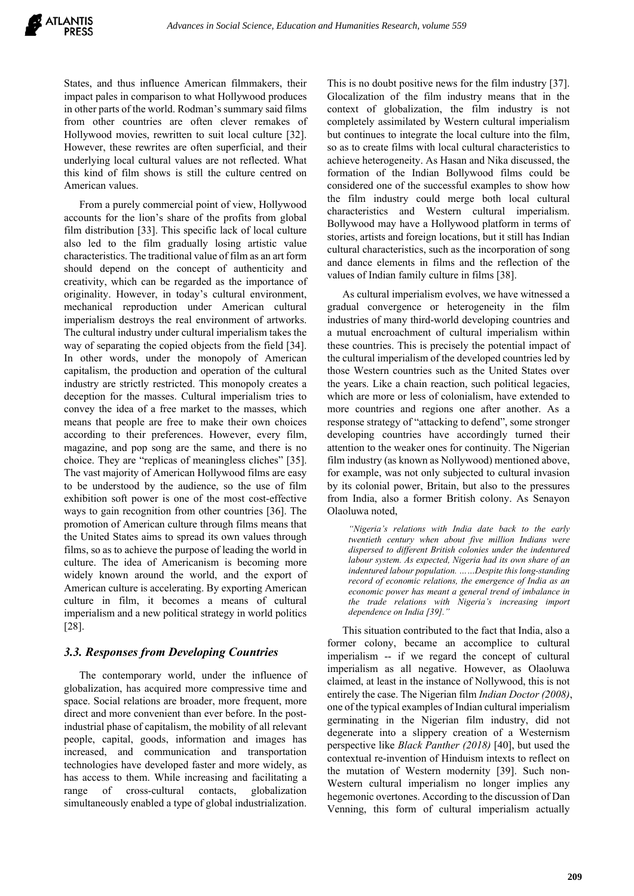States, and thus influence American filmmakers, their impact pales in comparison to what Hollywood produces in other parts of the world. Rodman's summary said films from other countries are often clever remakes of Hollywood movies, rewritten to suit local culture [32]. However, these rewrites are often superficial, and their underlying local cultural values are not reflected. What this kind of film shows is still the culture centred on American values.

From a purely commercial point of view, Hollywood accounts for the lion's share of the profits from global film distribution [33]. This specific lack of local culture also led to the film gradually losing artistic value characteristics. The traditional value of film as an art form should depend on the concept of authenticity and creativity, which can be regarded as the importance of originality. However, in today's cultural environment, mechanical reproduction under American cultural imperialism destroys the real environment of artworks. The cultural industry under cultural imperialism takes the way of separating the copied objects from the field [34]. In other words, under the monopoly of American capitalism, the production and operation of the cultural industry are strictly restricted. This monopoly creates a deception for the masses. Cultural imperialism tries to convey the idea of a free market to the masses, which means that people are free to make their own choices according to their preferences. However, every film, magazine, and pop song are the same, and there is no choice. They are "replicas of meaningless cliches" [35]. The vast majority of American Hollywood films are easy to be understood by the audience, so the use of film exhibition soft power is one of the most cost-effective ways to gain recognition from other countries [36]. The promotion of American culture through films means that the United States aims to spread its own values through films, so as to achieve the purpose of leading the world in culture. The idea of Americanism is becoming more widely known around the world, and the export of American culture is accelerating. By exporting American culture in film, it becomes a means of cultural imperialism and a new political strategy in world politics [28].

## *3.3. Responses from Developing Countries*

The contemporary world, under the influence of globalization, has acquired more compressive time and space. Social relations are broader, more frequent, more direct and more convenient than ever before. In the postindustrial phase of capitalism, the mobility of all relevant people, capital, goods, information and images has increased, and communication and transportation technologies have developed faster and more widely, as has access to them. While increasing and facilitating a range of cross-cultural contacts, globalization simultaneously enabled a type of global industrialization.

This is no doubt positive news for the film industry [37]. Glocalization of the film industry means that in the context of globalization, the film industry is not completely assimilated by Western cultural imperialism but continues to integrate the local culture into the film, so as to create films with local cultural characteristics to achieve heterogeneity. As Hasan and Nika discussed, the formation of the Indian Bollywood films could be considered one of the successful examples to show how the film industry could merge both local cultural characteristics and Western cultural imperialism. Bollywood may have a Hollywood platform in terms of stories, artists and foreign locations, but it still has Indian cultural characteristics, such as the incorporation of song and dance elements in films and the reflection of the values of Indian family culture in films [38].

As cultural imperialism evolves, we have witnessed a gradual convergence or heterogeneity in the film industries of many third-world developing countries and a mutual encroachment of cultural imperialism within these countries. This is precisely the potential impact of the cultural imperialism of the developed countries led by those Western countries such as the United States over the years. Like a chain reaction, such political legacies, which are more or less of colonialism, have extended to more countries and regions one after another. As a response strategy of "attacking to defend", some stronger developing countries have accordingly turned their attention to the weaker ones for continuity. The Nigerian film industry (as known as Nollywood) mentioned above, for example, was not only subjected to cultural invasion by its colonial power, Britain, but also to the pressures from India, also a former British colony. As Senayon Olaoluwa noted,

*"Nigeria's relations with India date back to the early twentieth century when about five million Indians were dispersed to different British colonies under the indentured labour system. As expected, Nigeria had its own share of an indentured labour population. ……Despite this long-standing record of economic relations, the emergence of India as an economic power has meant a general trend of imbalance in the trade relations with Nigeria's increasing import dependence on India [39]."* 

This situation contributed to the fact that India, also a former colony, became an accomplice to cultural imperialism -- if we regard the concept of cultural imperialism as all negative. However, as Olaoluwa claimed, at least in the instance of Nollywood, this is not entirely the case. The Nigerian film *Indian Doctor (2008)*, one of the typical examples of Indian cultural imperialism germinating in the Nigerian film industry, did not degenerate into a slippery creation of a Westernism perspective like *Black Panther (2018)* [40], but used the contextual re-invention of Hinduism intexts to reflect on the mutation of Western modernity [39]. Such non-Western cultural imperialism no longer implies any hegemonic overtones. According to the discussion of Dan Venning, this form of cultural imperialism actually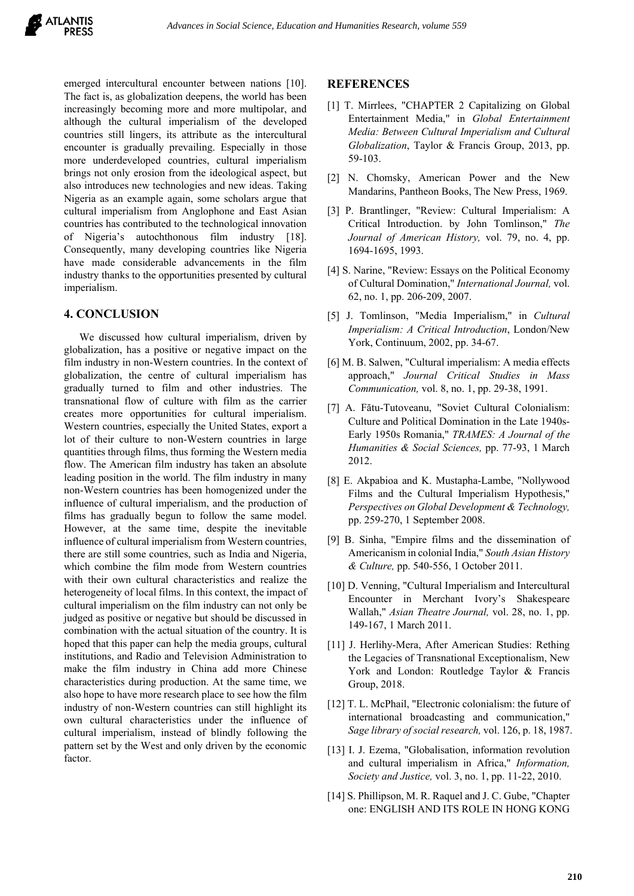emerged intercultural encounter between nations [10]. The fact is, as globalization deepens, the world has been increasingly becoming more and more multipolar, and although the cultural imperialism of the developed countries still lingers, its attribute as the intercultural encounter is gradually prevailing. Especially in those more underdeveloped countries, cultural imperialism brings not only erosion from the ideological aspect, but also introduces new technologies and new ideas. Taking Nigeria as an example again, some scholars argue that cultural imperialism from Anglophone and East Asian countries has contributed to the technological innovation of Nigeria's autochthonous film industry [18]. Consequently, many developing countries like Nigeria have made considerable advancements in the film industry thanks to the opportunities presented by cultural imperialism.

#### **4. CONCLUSION**

We discussed how cultural imperialism, driven by globalization, has a positive or negative impact on the film industry in non-Western countries. In the context of globalization, the centre of cultural imperialism has gradually turned to film and other industries. The transnational flow of culture with film as the carrier creates more opportunities for cultural imperialism. Western countries, especially the United States, export a lot of their culture to non-Western countries in large quantities through films, thus forming the Western media flow. The American film industry has taken an absolute leading position in the world. The film industry in many non-Western countries has been homogenized under the influence of cultural imperialism, and the production of films has gradually begun to follow the same model. However, at the same time, despite the inevitable influence of cultural imperialism from Western countries, there are still some countries, such as India and Nigeria, which combine the film mode from Western countries with their own cultural characteristics and realize the heterogeneity of local films. In this context, the impact of cultural imperialism on the film industry can not only be judged as positive or negative but should be discussed in combination with the actual situation of the country. It is hoped that this paper can help the media groups, cultural institutions, and Radio and Television Administration to make the film industry in China add more Chinese characteristics during production. At the same time, we also hope to have more research place to see how the film industry of non-Western countries can still highlight its own cultural characteristics under the influence of cultural imperialism, instead of blindly following the pattern set by the West and only driven by the economic factor.

#### **REFERENCES**

- [1] T. Mirrlees, "CHAPTER 2 Capitalizing on Global Entertainment Media," in *Global Entertainment Media: Between Cultural Imperialism and Cultural Globalization*, Taylor & Francis Group, 2013, pp. 59-103.
- [2] N. Chomsky, American Power and the New Mandarins, Pantheon Books, The New Press, 1969.
- [3] P. Brantlinger, "Review: Cultural Imperialism: A Critical Introduction. by John Tomlinson," *The Journal of American History,* vol. 79, no. 4, pp. 1694-1695, 1993.
- [4] S. Narine, "Review: Essays on the Political Economy of Cultural Domination," *International Journal,* vol. 62, no. 1, pp. 206-209, 2007.
- [5] J. Tomlinson, "Media Imperialism," in *Cultural Imperialism: A Critical Introduction*, London/New York, Continuum, 2002, pp. 34-67.
- [6] M. B. Salwen, "Cultural imperialism: A media effects approach," *Journal Critical Studies in Mass Communication,* vol. 8, no. 1, pp. 29-38, 1991.
- [7] A. Fătu-Tutoveanu, "Soviet Cultural Colonialism: Culture and Political Domination in the Late 1940s-Early 1950s Romania," *TRAMES: A Journal of the Humanities & Social Sciences,* pp. 77-93, 1 March 2012.
- [8] E. Akpabioa and K. Mustapha-Lambe, "Nollywood Films and the Cultural Imperialism Hypothesis," *Perspectives on Global Development & Technology,*  pp. 259-270, 1 September 2008.
- [9] B. Sinha, "Empire films and the dissemination of Americanism in colonial India," *South Asian History & Culture,* pp. 540-556, 1 October 2011.
- [10] D. Venning, "Cultural Imperialism and Intercultural Encounter in Merchant Ivory's Shakespeare Wallah," *Asian Theatre Journal,* vol. 28, no. 1, pp. 149-167, 1 March 2011.
- [11] J. Herlihy-Mera, After American Studies: Rething the Legacies of Transnational Exceptionalism, New York and London: Routledge Taylor & Francis Group, 2018.
- [12] T. L. McPhail, "Electronic colonialism: the future of international broadcasting and communication," *Sage library of social research,* vol. 126, p. 18, 1987.
- [13] I. J. Ezema, "Globalisation, information revolution and cultural imperialism in Africa," *Information, Society and Justice,* vol. 3, no. 1, pp. 11-22, 2010.
- [14] S. Phillipson, M. R. Raquel and J. C. Gube, "Chapter one: ENGLISH AND ITS ROLE IN HONG KONG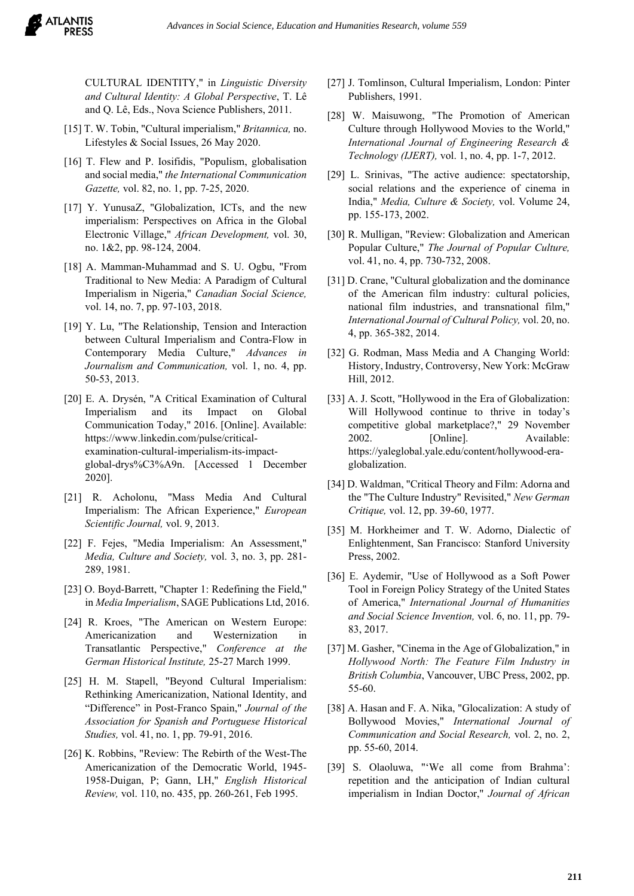CULTURAL IDENTITY," in *Linguistic Diversity and Cultural Identity: A Global Perspective*, T. Lê and Q. Lê, Eds., Nova Science Publishers, 2011.

- [15] T. W. Tobin, "Cultural imperialism," *Britannica,* no. Lifestyles & Social Issues, 26 May 2020.
- [16] T. Flew and P. Iosifidis, "Populism, globalisation and social media," *the International Communication Gazette,* vol. 82, no. 1, pp. 7-25, 2020.
- [17] Y. YunusaZ, "Globalization, ICTs, and the new imperialism: Perspectives on Africa in the Global Electronic Village," *African Development,* vol. 30, no. 1&2, pp. 98-124, 2004.
- [18] A. Mamman-Muhammad and S. U. Ogbu, "From Traditional to New Media: A Paradigm of Cultural Imperialism in Nigeria," *Canadian Social Science,*  vol. 14, no. 7, pp. 97-103, 2018.
- [19] Y. Lu, "The Relationship, Tension and Interaction between Cultural Imperialism and Contra-Flow in Contemporary Media Culture," *Advances in Journalism and Communication,* vol. 1, no. 4, pp. 50-53, 2013.
- [20] E. A. Drysén, "A Critical Examination of Cultural Imperialism and its Impact on Global Communication Today," 2016. [Online]. Available: https://www.linkedin.com/pulse/criticalexamination-cultural-imperialism-its-impactglobal-drys%C3%A9n. [Accessed 1 December 2020].
- [21] R. Acholonu, "Mass Media And Cultural Imperialism: The African Experience," *European Scientific Journal,* vol. 9, 2013.
- [22] F. Fejes, "Media Imperialism: An Assessment," *Media, Culture and Society,* vol. 3, no. 3, pp. 281- 289, 1981.
- [23] O. Boyd-Barrett, "Chapter 1: Redefining the Field," in *Media Imperialism*, SAGE Publications Ltd, 2016.
- [24] R. Kroes, "The American on Western Europe: Americanization and Westernization in Transatlantic Perspective," *Conference at the German Historical Institute,* 25-27 March 1999.
- [25] H. M. Stapell, "Beyond Cultural Imperialism: Rethinking Americanization, National Identity, and "Difference" in Post-Franco Spain," *Journal of the Association for Spanish and Portuguese Historical Studies,* vol. 41, no. 1, pp. 79-91, 2016.
- [26] K. Robbins, "Review: The Rebirth of the West-The Americanization of the Democratic World, 1945- 1958-Duigan, P; Gann, LH," *English Historical Review,* vol. 110, no. 435, pp. 260-261, Feb 1995.
- [27] J. Tomlinson, Cultural Imperialism, London: Pinter Publishers, 1991.
- [28] W. Maisuwong, "The Promotion of American Culture through Hollywood Movies to the World," *International Journal of Engineering Research & Technology (IJERT),* vol. 1, no. 4, pp. 1-7, 2012.
- [29] L. Srinivas, "The active audience: spectatorship, social relations and the experience of cinema in India," *Media, Culture & Society,* vol. Volume 24, pp. 155-173, 2002.
- [30] R. Mulligan, "Review: Globalization and American Popular Culture," *The Journal of Popular Culture,*  vol. 41, no. 4, pp. 730-732, 2008.
- [31] D. Crane, "Cultural globalization and the dominance of the American film industry: cultural policies, national film industries, and transnational film," *International Journal of Cultural Policy,* vol. 20, no. 4, pp. 365-382, 2014.
- [32] G. Rodman, Mass Media and A Changing World: History, Industry, Controversy, New York: McGraw Hill, 2012.
- [33] A. J. Scott, "Hollywood in the Era of Globalization: Will Hollywood continue to thrive in today's competitive global marketplace?," 29 November 2002. [Online]. Available: https://yaleglobal.yale.edu/content/hollywood-eraglobalization.
- [34] D. Waldman, "Critical Theory and Film: Adorna and the "The Culture Industry" Revisited," *New German Critique,* vol. 12, pp. 39-60, 1977.
- [35] M. Horkheimer and T. W. Adorno, Dialectic of Enlightenment, San Francisco: Stanford University Press, 2002.
- [36] E. Aydemir, "Use of Hollywood as a Soft Power Tool in Foreign Policy Strategy of the United States of America," *International Journal of Humanities and Social Science Invention,* vol. 6, no. 11, pp. 79- 83, 2017.
- [37] M. Gasher, "Cinema in the Age of Globalization," in *Hollywood North: The Feature Film Industry in British Columbia*, Vancouver, UBC Press, 2002, pp. 55-60.
- [38] A. Hasan and F. A. Nika, "Glocalization: A study of Bollywood Movies," *International Journal of Communication and Social Research,* vol. 2, no. 2, pp. 55-60, 2014.
- [39] S. Olaoluwa, "'We all come from Brahma': repetition and the anticipation of Indian cultural imperialism in Indian Doctor," *Journal of African*